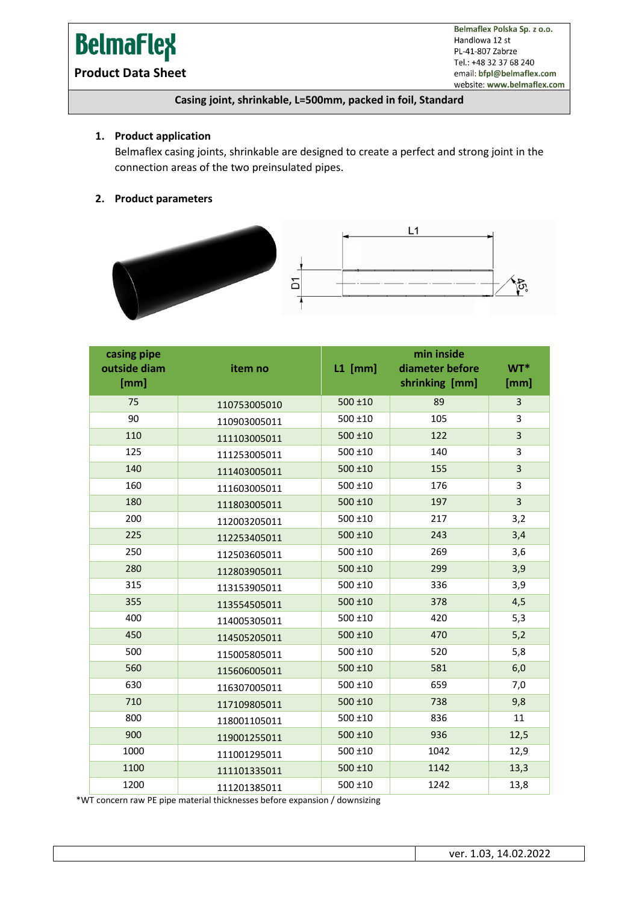# **BelmaFlex**

Belmaflex Polska Sp. z o.o. Handlowa 12 st PL-41-807 Zabrze Tel.: +48 32 37 68 240 email: bfpl@belmaflex.com website: www.belmaflex.com

### **Product Data Sheet**

#### **Casing joint, shrinkable, L=500mm, packed in foil, Standard**

#### **1. Product application**

Belmaflex casing joints, shrinkable are designed to create a perfect and strong joint in the connection areas of the two preinsulated pipes.

#### **2. Product parameters**



| casing pipe<br>outside diam<br>[mm] | item no      | $L1$ [mm]    | min inside<br>diameter before<br>shrinking [mm] | WT*<br>[mm] |
|-------------------------------------|--------------|--------------|-------------------------------------------------|-------------|
| 75                                  | 110753005010 | $500 \pm 10$ | 89                                              | 3           |
| 90                                  | 110903005011 | 500 ±10      | 105                                             | 3           |
| 110                                 | 111103005011 | $500 \pm 10$ | 122                                             | 3           |
| 125                                 | 111253005011 | 500 ±10      | 140                                             | 3           |
| 140                                 | 111403005011 | 500 ±10      | 155                                             | 3           |
| 160                                 | 111603005011 | 500 ±10      | 176                                             | 3           |
| 180                                 | 111803005011 | $500 + 10$   | 197                                             | 3           |
| 200                                 | 112003205011 | 500 ±10      | 217                                             | 3,2         |
| 225                                 | 112253405011 | $500 \pm 10$ | 243                                             | 3,4         |
| 250                                 | 112503605011 | $500 \pm 10$ | 269                                             | 3,6         |
| 280                                 | 112803905011 | 500 ±10      | 299                                             | 3,9         |
| 315                                 | 113153905011 | $500 \pm 10$ | 336                                             | 3,9         |
| 355                                 | 113554505011 | $500 + 10$   | 378                                             | 4,5         |
| 400                                 | 114005305011 | 500 ±10      | 420                                             | 5,3         |
| 450                                 | 114505205011 | $500 + 10$   | 470                                             | 5,2         |
| 500                                 | 115005805011 | $500 \pm 10$ | 520                                             | 5,8         |
| 560                                 | 115606005011 | 500 ±10      | 581                                             | 6,0         |
| 630                                 | 116307005011 | 500 ±10      | 659                                             | 7,0         |
| 710                                 | 117109805011 | $500 + 10$   | 738                                             | 9,8         |
| 800                                 | 118001105011 | $500 \pm 10$ | 836                                             | 11          |
| 900                                 | 119001255011 | $500 + 10$   | 936                                             | 12,5        |
| 1000                                | 111001295011 | 500 ±10      | 1042                                            | 12,9        |
| 1100                                | 111101335011 | $500 + 10$   | 1142                                            | 13,3        |
| 1200                                | 111201385011 | $500 + 10$   | 1242                                            | 13,8        |

\*WT concern raw PE pipe material thicknesses before expansion / downsizing